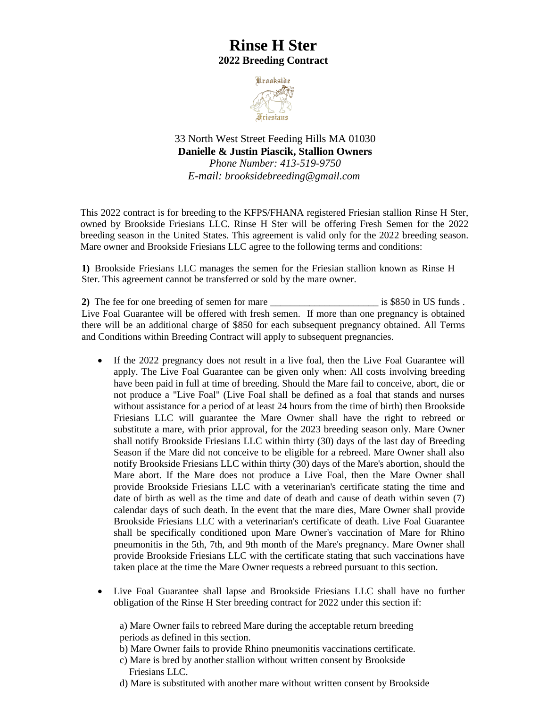## **Rinse H Ster 2022 Breeding Contract**



33 North West Street Feeding Hills MA 01030 **Danielle & Justin Piascik, Stallion Owners**  *Phone Number: 413-519-9750 E-mail: [brooksidebreeding@gmail.com](mailto:brooksidebreeding@gmail.com)*

This 2022 contract is for breeding to the KFPS/FHANA registered Friesian stallion Rinse H Ster, owned by Brookside Friesians LLC. Rinse H Ster will be offering Fresh Semen for the 2022 breeding season in the United States. This agreement is valid only for the 2022 breeding season. Mare owner and Brookside Friesians LLC agree to the following terms and conditions:

**1)** Brookside Friesians LLC manages the semen for the Friesian stallion known as Rinse H Ster. This agreement cannot be transferred or sold by the mare owner.

**2)** The fee for one breeding of semen for mare \_\_\_\_\_\_\_\_\_\_\_\_\_\_\_\_\_\_\_\_\_\_ is \$850 in US funds . Live Foal Guarantee will be offered with fresh semen. If more than one pregnancy is obtained there will be an additional charge of \$850 for each subsequent pregnancy obtained. All Terms and Conditions within Breeding Contract will apply to subsequent pregnancies.

- If the 2022 pregnancy does not result in a live foal, then the Live Foal Guarantee will apply. The Live Foal Guarantee can be given only when: All costs involving breeding have been paid in full at time of breeding. Should the Mare fail to conceive, abort, die or not produce a "Live Foal" (Live Foal shall be defined as a foal that stands and nurses without assistance for a period of at least 24 hours from the time of birth) then Brookside Friesians LLC will guarantee the Mare Owner shall have the right to rebreed or substitute a mare, with prior approval, for the 2023 breeding season only. Mare Owner shall notify Brookside Friesians LLC within thirty (30) days of the last day of Breeding Season if the Mare did not conceive to be eligible for a rebreed. Mare Owner shall also notify Brookside Friesians LLC within thirty (30) days of the Mare's abortion, should the Mare abort. If the Mare does not produce a Live Foal, then the Mare Owner shall provide Brookside Friesians LLC with a veterinarian's certificate stating the time and date of birth as well as the time and date of death and cause of death within seven (7) calendar days of such death. In the event that the mare dies, Mare Owner shall provide Brookside Friesians LLC with a veterinarian's certificate of death. Live Foal Guarantee shall be specifically conditioned upon Mare Owner's vaccination of Mare for Rhino pneumonitis in the 5th, 7th, and 9th month of the Mare's pregnancy. Mare Owner shall provide Brookside Friesians LLC with the certificate stating that such vaccinations have taken place at the time the Mare Owner requests a rebreed pursuant to this section.
- Live Foal Guarantee shall lapse and Brookside Friesians LLC shall have no further obligation of the Rinse H Ster breeding contract for 2022 under this section if:

a) Mare Owner fails to rebreed Mare during the acceptable return breeding periods as defined in this section.

- b) Mare Owner fails to provide Rhino pneumonitis vaccinations certificate.
- c) Mare is bred by another stallion without written consent by Brookside Friesians LLC.
- d) Mare is substituted with another mare without written consent by Brookside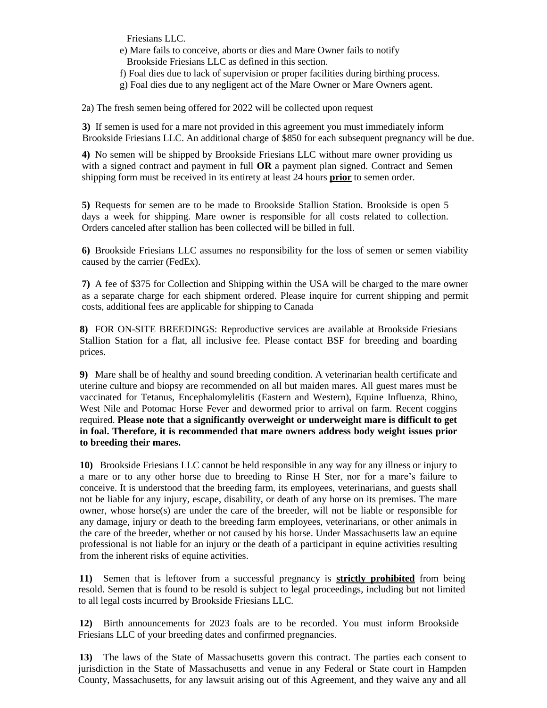Friesians LLC.

e) Mare fails to conceive, aborts or dies and Mare Owner fails to notify Brookside Friesians LLC as defined in this section.

- f) Foal dies due to lack of supervision or proper facilities during birthing process.
- g) Foal dies due to any negligent act of the Mare Owner or Mare Owners agent.

2a) The fresh semen being offered for 2022 will be collected upon request

**3)** If semen is used for a mare not provided in this agreement you must immediately inform Brookside Friesians LLC. An additional charge of \$850 for each subsequent pregnancy will be due.

**4)** No semen will be shipped by Brookside Friesians LLC without mare owner providing us with a signed contract and payment in full **OR** a payment plan signed. Contract and Semen shipping form must be received in its entirety at least 24 hours **prior** to semen order.

**5)** Requests for semen are to be made to Brookside Stallion Station. Brookside is open 5 days a week for shipping. Mare owner is responsible for all costs related to collection. Orders canceled after stallion has been collected will be billed in full.

**6)** Brookside Friesians LLC assumes no responsibility for the loss of semen or semen viability caused by the carrier (FedEx).

**7)** A fee of \$375 for Collection and Shipping within the USA will be charged to the mare owner as a separate charge for each shipment ordered. Please inquire for current shipping and permit costs, additional fees are applicable for shipping to Canada

**8)** FOR ON-SITE BREEDINGS: Reproductive services are available at Brookside Friesians Stallion Station for a flat, all inclusive fee. Please contact BSF for breeding and boarding prices.

**9)** Mare shall be of healthy and sound breeding condition. A veterinarian health certificate and uterine culture and biopsy are recommended on all but maiden mares. All guest mares must be vaccinated for Tetanus, Encephalomylelitis (Eastern and Western), Equine Influenza, Rhino, West Nile and Potomac Horse Fever and dewormed prior to arrival on farm. Recent coggins required. **Please note that a significantly overweight or underweight mare is difficult to get in foal. Therefore, it is recommended that mare owners address body weight issues prior to breeding their mares.**

**10)** Brookside Friesians LLC cannot be held responsible in any way for any illness or injury to a mare or to any other horse due to breeding to Rinse H Ster, nor for a mare's failure to conceive. It is understood that the breeding farm, its employees, veterinarians, and guests shall not be liable for any injury, escape, disability, or death of any horse on its premises. The mare owner, whose horse(s) are under the care of the breeder, will not be liable or responsible for any damage, injury or death to the breeding farm employees, veterinarians, or other animals in the care of the breeder, whether or not caused by his horse. Under Massachusetts law an equine professional is not liable for an injury or the death of a participant in equine activities resulting from the inherent risks of equine activities.

**11)** Semen that is leftover from a successful pregnancy is **strictly prohibited** from being resold. Semen that is found to be resold is subject to legal proceedings, including but not limited to all legal costs incurred by Brookside Friesians LLC.

**12)** Birth announcements for 2023 foals are to be recorded. You must inform Brookside Friesians LLC of your breeding dates and confirmed pregnancies.

**13)** The laws of the State of Massachusetts govern this contract. The parties each consent to jurisdiction in the State of Massachusetts and venue in any Federal or State court in Hampden County, Massachusetts, for any lawsuit arising out of this Agreement, and they waive any and all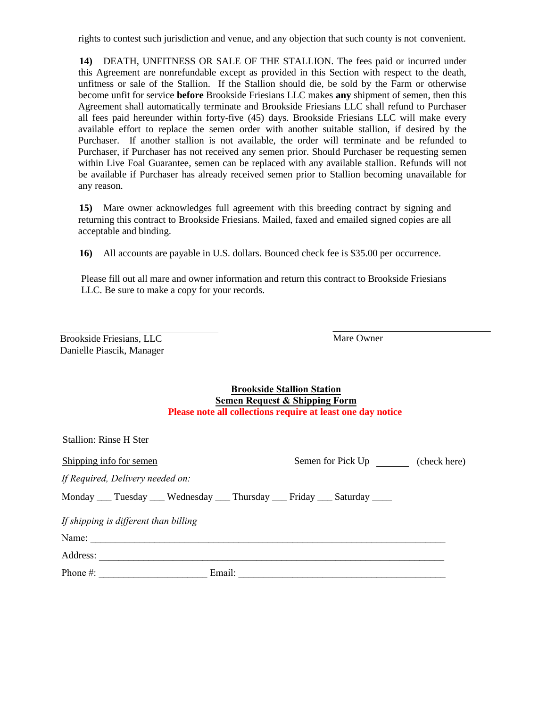rights to contest such jurisdiction and venue, and any objection that such county is not convenient.

**14)** DEATH, UNFITNESS OR SALE OF THE STALLION. The fees paid or incurred under this Agreement are nonrefundable except as provided in this Section with respect to the death, unfitness or sale of the Stallion. If the Stallion should die, be sold by the Farm or otherwise become unfit for service **before** Brookside Friesians LLC makes **any** shipment of semen, then this Agreement shall automatically terminate and Brookside Friesians LLC shall refund to Purchaser all fees paid hereunder within forty-five (45) days. Brookside Friesians LLC will make every available effort to replace the semen order with another suitable stallion, if desired by the Purchaser. If another stallion is not available, the order will terminate and be refunded to Purchaser, if Purchaser has not received any semen prior. Should Purchaser be requesting semen within Live Foal Guarantee, semen can be replaced with any available stallion. Refunds will not be available if Purchaser has already received semen prior to Stallion becoming unavailable for any reason.

**15)** Mare owner acknowledges full agreement with this breeding contract by signing and returning this contract to Brookside Friesians. Mailed, faxed and emailed signed copies are all acceptable and binding.

**16)** All accounts are payable in U.S. dollars. Bounced check fee is \$35.00 per occurrence.

Please fill out all mare and owner information and return this contract to Brookside Friesians LLC. Be sure to make a copy for your records.

| <b>Brookside Friesians, LLC</b> |  |
|---------------------------------|--|
| Danielle Piascik, Manager       |  |

Mare Owner

| <b>Brookside Stallion Station</b>                           |
|-------------------------------------------------------------|
| <b>Semen Request &amp; Shipping Form</b>                    |
| Please note all collections require at least one day notice |

| <b>Stallion: Rinse H Ster</b>                                                         |                                   |
|---------------------------------------------------------------------------------------|-----------------------------------|
| Shipping info for semen                                                               | Semen for Pick Up<br>(check here) |
| If Required, Delivery needed on:                                                      |                                   |
| Monday _____ Tuesday _____ Wednesday _____ Thursday _____ Friday _____ Saturday _____ |                                   |
| If shipping is different than billing                                                 |                                   |
| Name:                                                                                 |                                   |
| Address:                                                                              |                                   |
| Phone $#$ :<br>Email:<br><u> 1980 - Jan Barbara Barbara, prima popula</u>             |                                   |